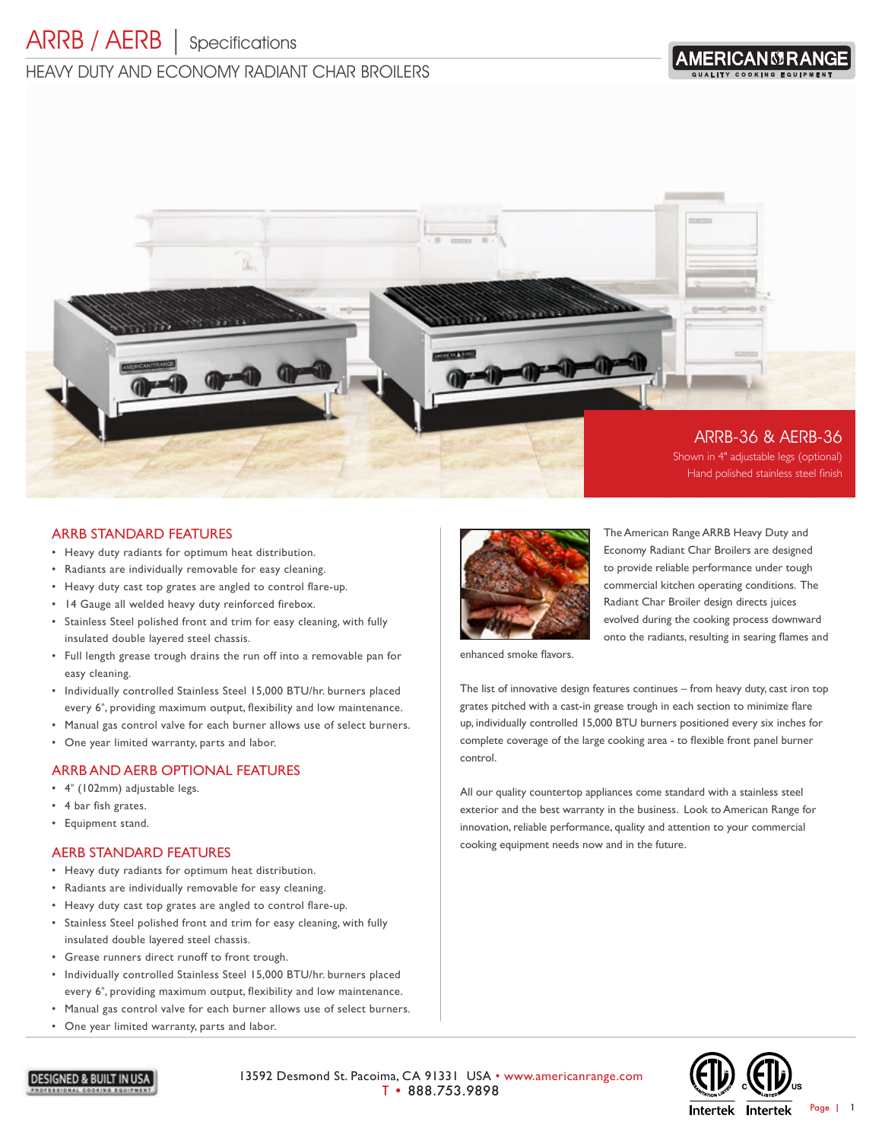# HEAVY DUTY AND FCONOMY RADIANT CHAR BROILERS





## ARRB STANDARD FEATURES

- Heavy duty radiants for optimum heat distribution.
- Radiants are individually removable for easy cleaning.
- Heavy duty cast top grates are angled to control flare-up.
- 14 Gauge all welded heavy duty reinforced firebox.
- Stainless Steel polished front and trim for easy cleaning, with fully insulated double layered steel chassis.
- Full length grease trough drains the run off into a removable pan for easy cleaning.
- Individually controlled Stainless Steel 15,000 BTU/hr. burners placed every 6", providing maximum output, flexibility and low maintenance.
- Manual gas control valve for each burner allows use of select burners.
- One year limited warranty, parts and labor.

#### ARRB AND AERB OPTIONAL FEATURES

- 4" (102mm) adjustable legs.
- 4 bar fish grates.
- Equipment stand.

#### AERB STANDARD FEATURES

- Heavy duty radiants for optimum heat distribution.
- Radiants are individually removable for easy cleaning.
- Heavy duty cast top grates are angled to control flare-up.
- Stainless Steel polished front and trim for easy cleaning, with fully insulated double layered steel chassis.
- Grease runners direct runoff to front trough.
- Individually controlled Stainless Steel 15,000 BTU/hr. burners placed every 6", providing maximum output, flexibility and low maintenance.
- Manual gas control valve for each burner allows use of select burners.
- One year limited warranty, parts and labor.



The American Range ARRB Heavy Duty and Economy Radiant Char Broilers are designed to provide reliable performance under tough commercial kitchen operating conditions. The Radiant Char Broiler design directs juices evolved during the cooking process downward onto the radiants, resulting in searing flames and

enhanced smoke flavors.

The list of innovative design features continues – from heavy duty, cast iron top grates pitched with a cast-in grease trough in each section to minimize flare up, individually controlled 15,000 BTU burners positioned every six inches for complete coverage of the large cooking area - to flexible front panel burner control.

All our quality countertop appliances come standard with a stainless steel exterior and the best warranty in the business. Look to American Range for innovation, reliable performance, quality and attention to your commercial cooking equipment needs now and in the future.



**DESIGNED & BUILT IN USA** 

13592 Desmond St. Pacoima, CA 91331 USA • www.americanrange.com T • 888.753.9898